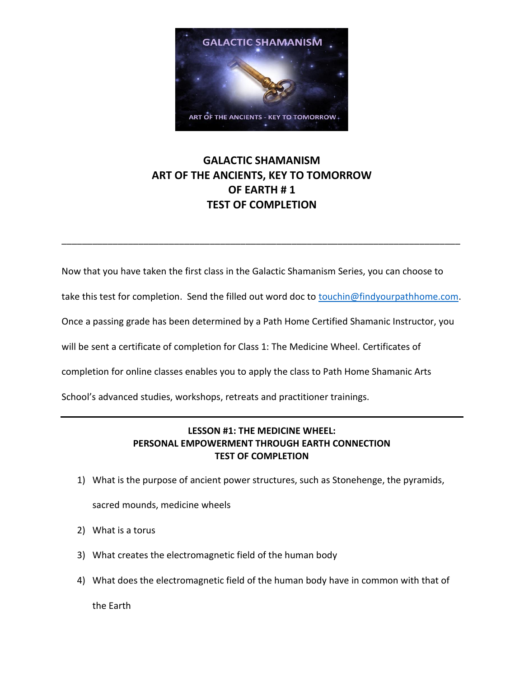

## **GALACTIC SHAMANISM ART OF THE ANCIENTS, KEY TO TOMORROW OF EARTH # 1 TEST OF COMPLETION**

Now that you have taken the first class in the Galactic Shamanism Series, you can choose to

take this test for completion. Send the filled out word doc to [touchin@findyourpathhome.com.](mailto:touchin@findyourpathhome.com)

\_\_\_\_\_\_\_\_\_\_\_\_\_\_\_\_\_\_\_\_\_\_\_\_\_\_\_\_\_\_\_\_\_\_\_\_\_\_\_\_\_\_\_\_\_\_\_\_\_\_\_\_\_\_\_\_\_\_\_\_\_\_\_\_\_\_\_\_\_\_\_\_\_\_\_\_\_\_

Once a passing grade has been determined by a Path Home Certified Shamanic Instructor, you

will be sent a certificate of completion for Class 1: The Medicine Wheel. Certificates of

completion for online classes enables you to apply the class to Path Home Shamanic Arts

School's advanced studies, workshops, retreats and practitioner trainings.

## **LESSON #1: THE MEDICINE WHEEL: PERSONAL EMPOWERMENT THROUGH EARTH CONNECTION TEST OF COMPLETION**

1) What is the purpose of ancient power structures, such as Stonehenge, the pyramids,

sacred mounds, medicine wheels

- 2) What is a torus
- 3) What creates the electromagnetic field of the human body
- 4) What does the electromagnetic field of the human body have in common with that of

the Earth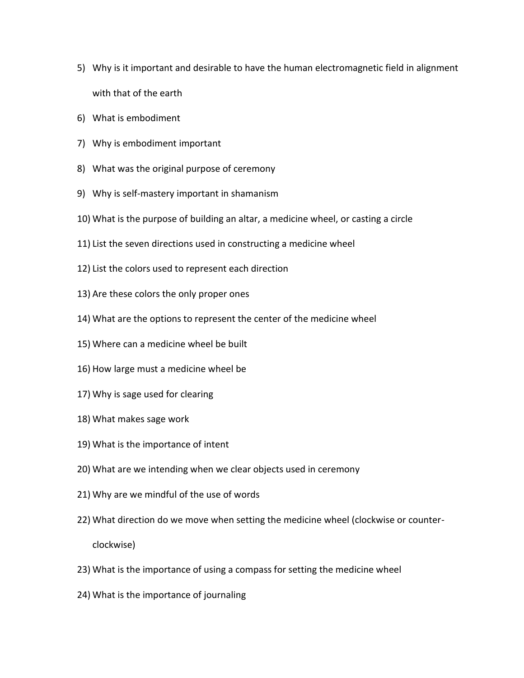- 5) Why is it important and desirable to have the human electromagnetic field in alignment with that of the earth
- 6) What is embodiment
- 7) Why is embodiment important
- 8) What was the original purpose of ceremony
- 9) Why is self-mastery important in shamanism
- 10) What is the purpose of building an altar, a medicine wheel, or casting a circle
- 11) List the seven directions used in constructing a medicine wheel
- 12) List the colors used to represent each direction
- 13) Are these colors the only proper ones
- 14) What are the options to represent the center of the medicine wheel
- 15) Where can a medicine wheel be built
- 16) How large must a medicine wheel be
- 17) Why is sage used for clearing
- 18) What makes sage work
- 19) What is the importance of intent
- 20) What are we intending when we clear objects used in ceremony
- 21) Why are we mindful of the use of words
- 22) What direction do we move when setting the medicine wheel (clockwise or counterclockwise)
- 23) What is the importance of using a compass for setting the medicine wheel
- 24) What is the importance of journaling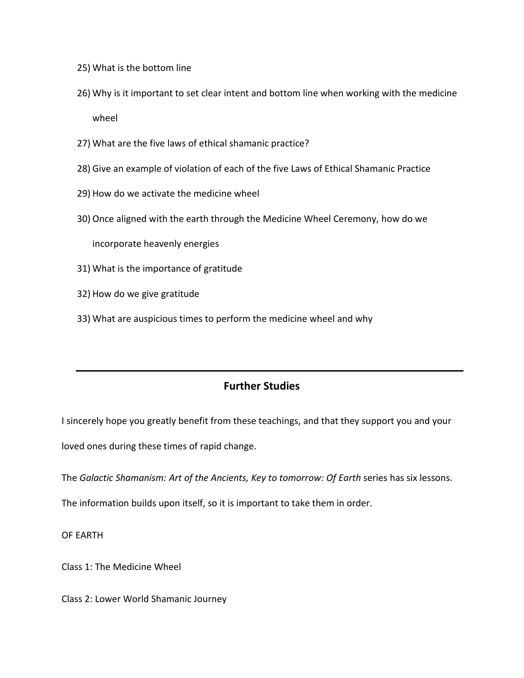- 25) What is the bottom line
- 26) Why is it important to set clear intent and bottom line when working with the medicine wheel
- 27) What are the five laws of ethical shamanic practice?
- 28) Give an example of violation of each of the five Laws of Ethical Shamanic Practice
- 29) How do we activate the medicine wheel
- 30) Once aligned with the earth through the Medicine Wheel Ceremony, how do we

incorporate heavenly energies

- 31) What is the importance of gratitude
- 32) How do we give gratitude
- 33) What are auspicious times to perform the medicine wheel and why

## **Further Studies**

I sincerely hope you greatly benefit from these teachings, and that they support you and your loved ones during these times of rapid change.

The *Galactic Shamanism: Art of the Ancients, Key to tomorrow: Of Earth* series has six lessons.

The information builds upon itself, so it is important to take them in order.

OF EARTH

Class 1: The Medicine Wheel

Class 2: Lower World Shamanic Journey